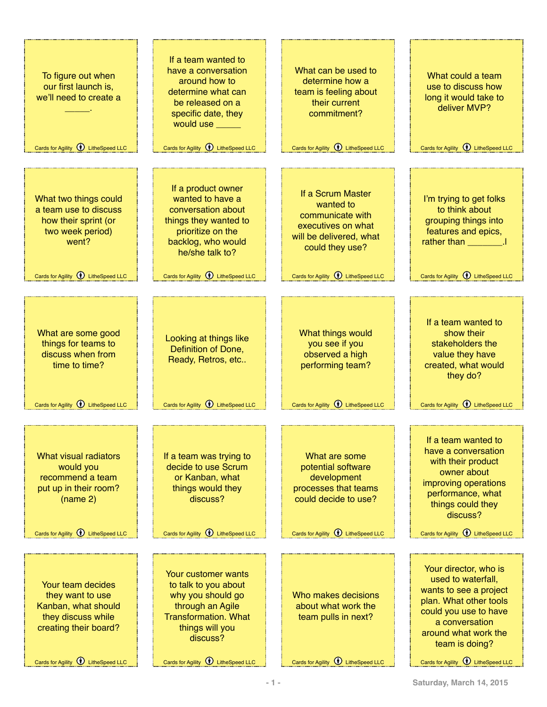| To figure out when<br>our first launch is,<br>we'll need to create a<br>Cards for Agility <b>W</b> LitheSpeed LLC                                        | If a team wanted to<br>have a conversation<br>around how to<br>determine what can<br>be released on a<br>specific date, they<br>would use<br>Cards for Agility <b><i>Q</i></b> LitheSpeed LLC           | What can be used to<br>determine how a<br>team is feeling about<br>their current<br>commitment?<br>Cards for Agility <b>1</b> LitheSpeed LLC                               | What could a team<br>use to discuss how<br>long it would take to<br>deliver MVP?<br>Cards for Agility <b><i>O</i></b> LitheSpeed LLC                                                                                                     |
|----------------------------------------------------------------------------------------------------------------------------------------------------------|---------------------------------------------------------------------------------------------------------------------------------------------------------------------------------------------------------|----------------------------------------------------------------------------------------------------------------------------------------------------------------------------|------------------------------------------------------------------------------------------------------------------------------------------------------------------------------------------------------------------------------------------|
| What two things could<br>a team use to discuss<br>how their sprint (or<br>two week period)<br>went?<br>Cards for Agility $\bigcirc$ LitheSpeed LLC       | If a product owner<br>wanted to have a<br>conversation about<br>things they wanted to<br>prioritize on the<br>backlog, who would<br>he/she talk to?<br>Cards for Agility <b><i>Q</i></b> LitheSpeed LLC | If a Scrum Master<br>wanted to<br>communicate with<br>executives on what<br>will be delivered, what<br>could they use?<br>Cards for Agility <b><i>Q</i></b> LitheSpeed LLC | I'm trying to get folks<br>to think about<br>grouping things into<br>features and epics,<br>rather than<br>Cards for Agility <b>1</b> LitheSpeed LLC                                                                                     |
| What are some good<br>things for teams to<br>discuss when from<br>time to time?<br>Cards for Agility (1) LitheSpeed LLC                                  | Looking at things like<br>Definition of Done,<br>Ready, Retros, etc<br>Cards for Agility <b><i>Q</i></b> LitheSpeed LLC                                                                                 | What things would<br>you see if you<br>observed a high<br>performing team?<br>Cards for Agility $\bigcirc$ LitheSpeed LLC                                                  | If a team wanted to<br>show their<br>stakeholders the<br>value they have<br>created, what would<br>they do?<br>Cards for Agility <b><i>O</i></b> LitheSpeed LLC                                                                          |
| What visual radiators<br>would you<br>recommend a team<br>put up in their room?<br>(name 2)<br>Cards for Agility <b>1</b> LitheSpeed LLC                 | If a team was trying to<br>decide to use Scrum<br>or Kanban, what<br>things would they<br>discuss?<br>Cards for Agility <b><i>Q</i></b> LitheSpeed LLC                                                  | What are some<br>potential software<br>development<br>processes that teams<br>could decide to use?<br>Cards for Agility <b><i>Q</i></b> LitheSpeed LLC                     | If a team wanted to<br>have a conversation<br>with their product<br>owner about<br>improving operations<br>performance, what<br>things could they<br>discuss?<br>Cards for Agility <b><i>Q</i></b> LitheSpeed LLC                        |
| Your team decides<br>they want to use<br>Kanban, what should<br>they discuss while<br>creating their board?<br>Cards for Agility <b>1</b> LitheSpeed LLC | Your customer wants<br>to talk to you about<br>why you should go<br>through an Agile<br><b>Transformation. What</b><br>things will you<br>discuss?<br>Cards for Agility <b>1</b> LitheSpeed LLC         | Who makes decisions<br>about what work the<br>team pulls in next?<br>Cards for Agility <b>1</b> LitheSpeed LLC                                                             | Your director, who is<br>used to waterfall,<br>wants to see a project<br>plan. What other tools<br>could you use to have<br>a conversation<br>around what work the<br>team is doing?<br>Cards for Agility <b><i>Q</i></b> LitheSpeed LLC |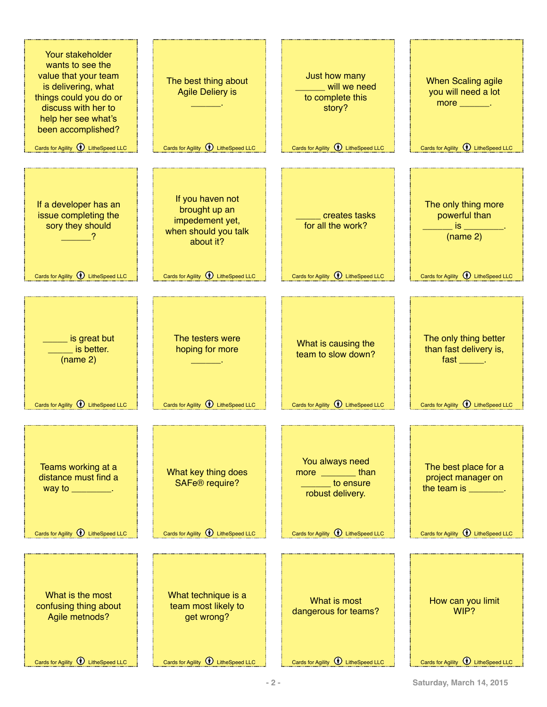| Your stakeholder<br>wants to see the<br>value that your team<br>is delivering, what<br>things could you do or<br>discuss with her to<br>help her see what's<br>been accomplished?<br>Cards for Agility <b>1</b> LitheSpeed LLC | The best thing about<br><b>Agile Deliery is</b><br>Cards for Agility <b>1</b> LitheSpeed LLC | Just how many<br>will we need<br>to complete this<br>story?<br>Cards for Agility $\bigcirc$ LitheSpeed LLC | <b>When Scaling agile</b><br>you will need a lot<br>more $\_\_\_\_\_\$ .<br>Cards for Agility $\bigcirc$ LitheSpeed LLC |
|--------------------------------------------------------------------------------------------------------------------------------------------------------------------------------------------------------------------------------|----------------------------------------------------------------------------------------------|------------------------------------------------------------------------------------------------------------|-------------------------------------------------------------------------------------------------------------------------|
|                                                                                                                                                                                                                                |                                                                                              |                                                                                                            |                                                                                                                         |
| If a developer has an<br>issue completing the<br>sory they should                                                                                                                                                              | If you haven not<br>brought up an<br>impedement yet,<br>when should you talk<br>about it?    | creates tasks<br>for all the work?                                                                         | The only thing more<br>powerful than<br>is the<br>(name 2)                                                              |
| Cards for Agility <b>1</b> LitheSpeed LLC                                                                                                                                                                                      | Cards for Agility <b>1</b> LitheSpeed LLC                                                    | Cards for Agility <b>1</b> LitheSpeed LLC                                                                  | Cards for Agility <b>1</b> LitheSpeed LLC                                                                               |
|                                                                                                                                                                                                                                |                                                                                              |                                                                                                            |                                                                                                                         |
| s great but<br>is better.<br>(name 2)<br>Cards for Agility <b>1</b> LitheSpeed LLC                                                                                                                                             | The testers were<br>hoping for more<br>Cards for Agility <b>1</b> LitheSpeed LLC             | What is causing the<br>team to slow down?<br>Cards for Agility <b>1</b> LitheSpeed LLC                     | The only thing better<br>than fast delivery is,<br>fast ______.<br>Cards for Agility $\bigcirc$ LitheSpeed LLC          |
|                                                                                                                                                                                                                                |                                                                                              |                                                                                                            |                                                                                                                         |
| Teams working at a<br>distance must find a<br>way to $\frac{1}{\sqrt{1-\frac{1}{2}}}\cdot$                                                                                                                                     | What key thing does<br>SAFe <sup>®</sup> require?                                            | You always need<br>more ________than<br><b>Example 10 constructs</b><br>robust delivery.                   | The best place for a<br>project manager on<br>the team is ________.                                                     |
| Cards for Agility <b>1</b> LitheSpeed LLC                                                                                                                                                                                      | Cards for Agility $\bigcirc$ LitheSpeed LLC                                                  | Cards for Agility <b><i>Q</i></b> LitheSpeed LLC                                                           | Cards for Agility $\bigcirc$ LitheSpeed LLC                                                                             |
|                                                                                                                                                                                                                                |                                                                                              |                                                                                                            |                                                                                                                         |
| What is the most<br>confusing thing about<br>Agile metnods?                                                                                                                                                                    | What technique is a<br>team most likely to<br>get wrong?                                     | What is most<br>dangerous for teams?                                                                       | How can you limit<br>WIP?                                                                                               |
| Cards for Agility $\bigcirc$ LitheSpeed LLC                                                                                                                                                                                    | Cards for Agility $\bigcirc$ LitheSpeed LLC                                                  | Cards for Agility $\bigcirc$ LitheSpeed LLC                                                                | Cards for Agility $\bigcirc$ LitheSpeed LLC                                                                             |